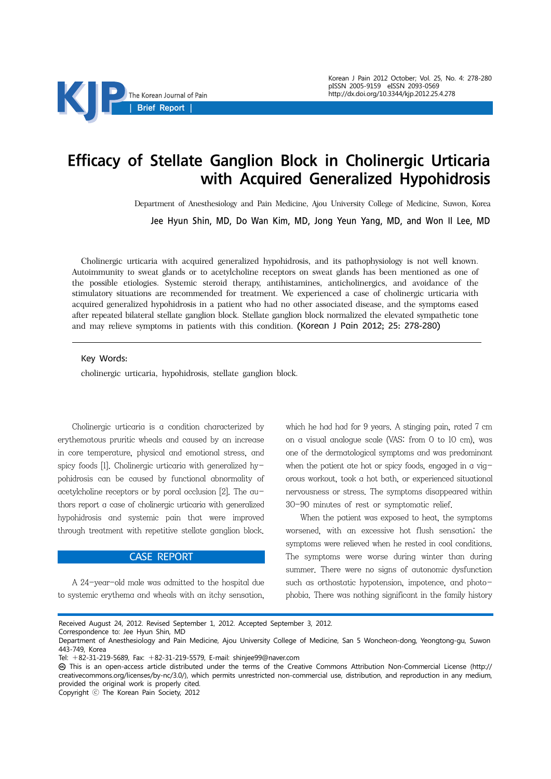

# Efficacy of Stellate Ganglion Block in Cholinergic Urticaria with Acquired Generalized Hypohidrosis

Department of Anesthesiology and Pain Medicine, Ajou University College of Medicine, Suwon, Korea

Jee Hyun Shin, MD, Do Wan Kim, MD, Jong Yeun Yang, MD, and Won Il Lee, MD

Cholinergic urticaria with acquired generalized hypohidrosis, and its pathophysiology is not well known. Autoimmunity to sweat glands or to acetylcholine receptors on sweat glands has been mentioned as one of the possible etiologies. Systemic steroid therapy, antihistamines, anticholinergics, and avoidance of the stimulatory situations are recommended for treatment. We experienced a case of cholinergic urticaria with acquired generalized hypohidrosis in a patient who had no other associated disease, and the symptoms eased after repeated bilateral stellate ganglion block. Stellate ganglion block normalized the elevated sympathetic tone and may relieve symptoms in patients with this condition. (Korean J Pain 2012; 25: 278-280)

#### Key Words:

cholinergic urticaria, hypohidrosis, stellate ganglion block.

Cholinergic urticaria is a condition characterized by erythematous pruritic wheals and caused by an increase in core temperature, physical and emotional stress, and spicy foods [1]. Cholinergic urticaria with generalized hypohidrosis can be caused by functional abnormality of acetylcholine receptors or by poral occlusion [2]. The authors report a case of cholinergic urticaria with generalized hypohidrosis and systemic pain that were improved through treatment with repetitive stellate ganglion block.

## CASE REPORT

A 24-year-old male was admitted to the hospital due to systemic erythema and wheals with an itchy sensation,

which he had had for 9 years. A stinging pain, rated 7 cm on a visual analogue scale (VAS: from 0 to 10 cm), was one of the dermatological symptoms and was predominant when the patient ate hot or spicy foods, engaged in a vigorous workout, took a hot bath, or experienced situational nervousness or stress. The symptoms disappeared within 30-90 minutes of rest or symptomatic relief.

When the patient was exposed to heat, the symptoms worsened, with an excessive hot flush sensation; the symptoms were relieved when he rested in cool conditions. The symptoms were worse during winter than during summer. There were no signs of autonomic dysfunction such as orthostatic hypotension, impotence, and photophobia. There was nothing significant in the family history

Received August 24, 2012. Revised September 1, 2012. Accepted September 3, 2012.

Correspondence to: Jee Hyun Shin, MD

Copyright ⓒ The Korean Pain Society, 2012

Department of Anesthesiology and Pain Medicine, Ajou University College of Medicine, San 5 Woncheon-dong, Yeongtong-gu, Suwon 443-749, Korea

Tel: +82-31-219-5689, Fax: +82-31-219-5579, E-mail: shinjee99@naver.com

This is an open-access article distributed under the terms of the Creative Commons Attribution Non-Commercial License (http:// creativecommons.org/licenses/by-nc/3.0/), which permits unrestricted non-commercial use, distribution, and reproduction in any medium, provided the original work is properly cited.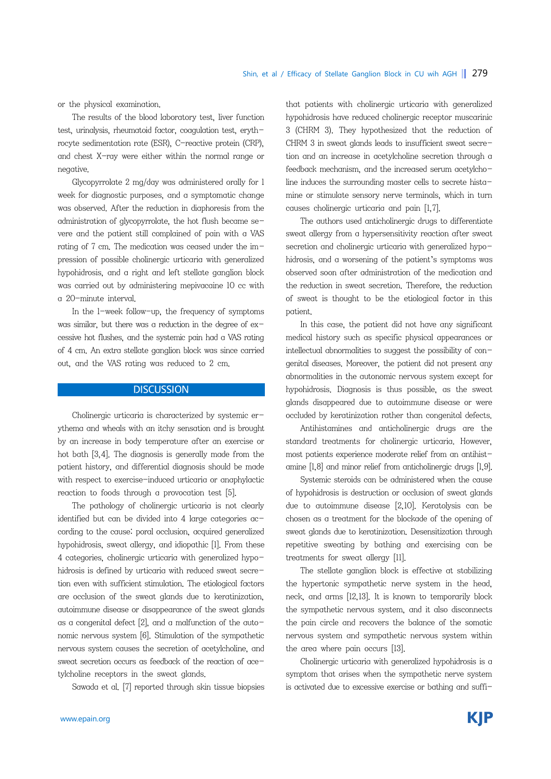or the physical examination.

The results of the blood laboratory test, liver function test, urinalysis, rheumatoid factor, coagulation test, erythrocyte sedimentation rate (ESR), C-reactive protein (CRP), and chest X-ray were either within the normal range or negative.

Glycopyrrolate 2 mg/day was administered orally for 1 week for diagnostic purposes, and a symptomatic change was observed. After the reduction in diaphoresis from the administration of glycopyrrolate, the hot flush became severe and the patient still complained of pain with a VAS rating of 7 cm. The medication was ceased under the impression of possible cholinergic urticaria with generalized hypohidrosis, and a right and left stellate ganglion block was carried out by administering mepivacaine 10 cc with a 20-minute interval.

In the 1-week follow-up, the frequency of symptoms was similar, but there was a reduction in the degree of  $ex$ cessive hot flushes, and the systemic pain had a VAS rating of 4 cm. An extra stellate ganglion block was since carried out, and the VAS rating was reduced to 2 cm.

## **DISCUSSION**

Cholinergic urticaria is characterized by systemic erythema and wheals with an itchy sensation and is brought by an increase in body temperature after an exercise or hot bath [3,4]. The diagnosis is generally made from the patient history, and differential diagnosis should be made with respect to exercise-induced urticaria or anaphylactic reaction to foods through a provocation test [5].

The pathology of cholinergic urticaria is not clearly identified but can be divided into 4 large categories according to the cause: poral occlusion, acquired generalized hypohidrosis, sweat allergy, and idiopathic [1]. From these 4 categories, cholinergic urticaria with generalized hypohidrosis is defined by urticaria with reduced sweat secretion even with sufficient stimulation. The etiological factors are occlusion of the sweat glands due to keratinization, autoimmune disease or disappearance of the sweat glands as a congenital defect  $[2]$ , and a malfunction of the autonomic nervous system [6]. Stimulation of the sympathetic nervous system causes the secretion of acetylcholine, and sweat secretion occurs as feedback of the reaction of acetylcholine receptors in the sweat glands.

Sawada et al. [7] reported through skin tissue biopsies

that patients with cholinergic urticaria with generalized hypohidrosis have reduced cholinergic receptor muscarinic 3 (CHRM 3). They hypothesized that the reduction of CHRM 3 in sweat glands leads to insufficient sweat secretion and an increase in acetylcholine secretion through a feedback mechanism, and the increased serum acetylcholine induces the surrounding master cells to secrete histamine or stimulate sensory nerve terminals, which in turn causes cholinergic urticaria and pain [1,7].

The authors used anticholinergic drugs to differentiate sweat allergy from a hypersensitivity reaction after sweat secretion and cholinergic urticaria with generalized hypohidrosis, and a worsening of the patient's symptoms was observed soon after administration of the medication and the reduction in sweat secretion. Therefore, the reduction of sweat is thought to be the etiological factor in this patient.

In this case, the patient did not have any significant medical history such as specific physical appearances or intellectual abnormalities to suggest the possibility of congenital diseases. Moreover, the patient did not present any abnormalities in the autonomic nervous system except for hypohidrosis. Diagnosis is thus possible, as the sweat glands disappeared due to autoimmune disease or were occluded by keratinization rather than congenital defects.

Antihistamines and anticholinergic drugs are the standard treatments for cholinergic urticaria. However, most patients experience moderate relief from an antihistamine [1,8] and minor relief from anticholinergic drugs [1,9].

Systemic steroids can be administered when the cause of hypohidrosis is destruction or occlusion of sweat glands due to autoimmune disease [2,10]. Keratolysis can be chosen as a treatment for the blockade of the opening of sweat glands due to keratinization. Desensitization through repetitive sweating by bathing and exercising can be treatments for sweat allergy [11].

The stellate ganglion block is effective at stabilizing the hypertonic sympathetic nerve system in the head, neck, and arms [12,13]. It is known to temporarily block the sympathetic nervous system, and it also disconnects the pain circle and recovers the balance of the somatic nervous system and sympathetic nervous system within the area where pain occurs [13].

Cholinergic urticaria with generalized hypohidrosis is a symptom that arises when the sympathetic nerve system is activated due to excessive exercise or bathing and suffi-